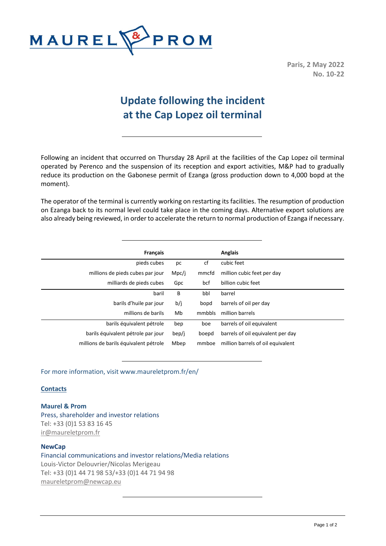

**Paris, 2 May 2022 No. 10-22**

## **Update following the incident at the Cap Lopez oil terminal**

Following an incident that occurred on Thursday 28 April at the facilities of the Cap Lopez oil terminal operated by Perenco and the suspension of its reception and export activities, M&P had to gradually reduce its production on the Gabonese permit of Ezanga (gross production down to 4,000 bopd at the moment).

The operator of the terminal is currently working on restarting its facilities. The resumption of production on Ezanga back to its normal level could take place in the coming days. Alternative export solutions are also already being reviewed, in order to accelerate the return to normal production of Ezanga if necessary.

| Français                              |       |        | Anglais                           |
|---------------------------------------|-------|--------|-----------------------------------|
| pieds cubes                           | рc    | cf     | cubic feet                        |
| millions de pieds cubes par jour      | Mpc/j | mmcfd  | million cubic feet per day        |
| milliards de pieds cubes              | Gpc   | bcf    | billion cubic feet                |
| baril                                 | B     | bbl    | barrel                            |
| barils d'huile par jour               | b/j   | bopd   | barrels of oil per day            |
| millions de barils                    | Mb    | mmbbls | million barrels                   |
| barils équivalent pétrole             | bep   | boe    | barrels of oil equivalent         |
| barils équivalent pétrole par jour    | bep/j | boepd  | barrels of oil equivalent per day |
| millions de barils équivalent pétrole | Mbep  | mmboe  | million barrels of oil equivalent |

For more information, visit www.maureletprom.fr/en/

## **Contacts**

**Maurel & Prom** Press, shareholder and investor relations Tel: +33 (0)1 53 83 16 45 [ir@maureletprom.fr](mailto:ir@maureletprom.fr)

## **NewCap**

Financial communications and investor relations/Media relations Louis-Victor Delouvrier/Nicolas Merigeau Tel: +33 (0)1 44 71 98 53/+33 (0)1 44 71 94 98 [maureletprom@newcap.eu](mailto:maureletprom@newcap.eu)